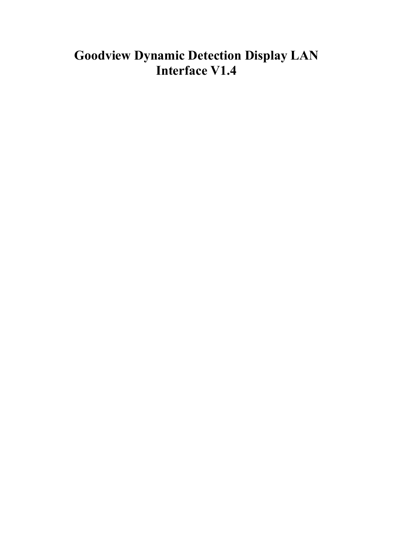# **Goodview Dynamic Detection Display LAN Interface V1.4**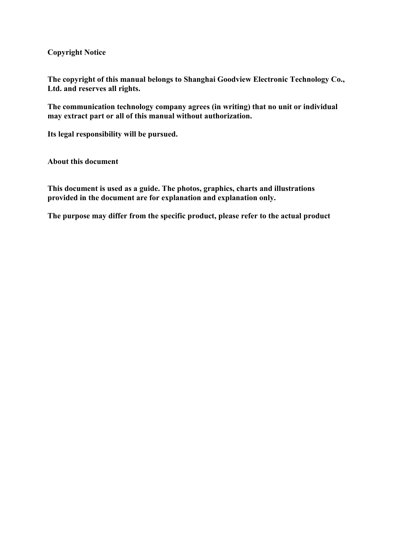**Copyright Notice**

**The copyright of this manual belongs to Shanghai Goodview Electronic Technology Co., Ltd. and reserves all rights.**

**The communication technology company agrees (in writing) that no unit or individual may extract part or all of this manual without authorization.**

**Its legal responsibility will be pursued.**

**About this document**

**This document is used as a guide. The photos, graphics, charts and illustrations provided in the document are for explanation and explanation only.**

**The purpose may differ from the specific product, please refer to the actual product**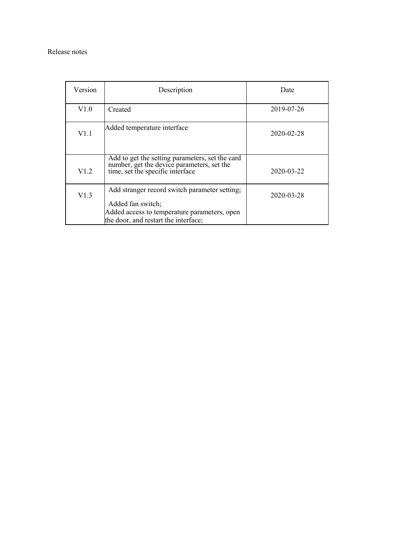#### Release notes

| Version | Description                                                                                                                                                | Date       |
|---------|------------------------------------------------------------------------------------------------------------------------------------------------------------|------------|
| V1.0    | Created                                                                                                                                                    | 2019-07-26 |
| V1.1    | Added temperature interface                                                                                                                                | 2020-02-28 |
| V1.2    | Add to get the setting parameters, set the card<br>number, get the device parameters, set the<br>time, set the specific interface                          | 2020-03-22 |
| V1.3    | Add stranger record switch parameter setting;<br>Added fan switch;<br>Added access to temperature parameters, open<br>the door, and restart the interface; | 2020-03-28 |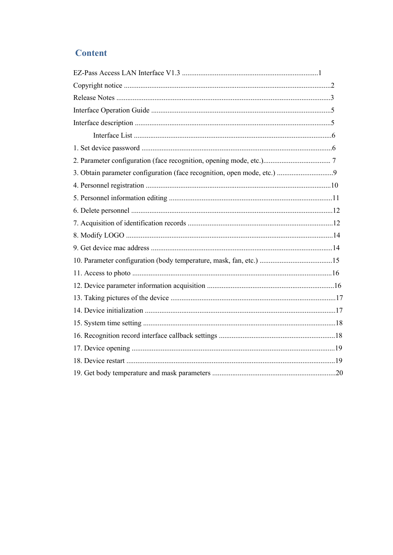## **Content**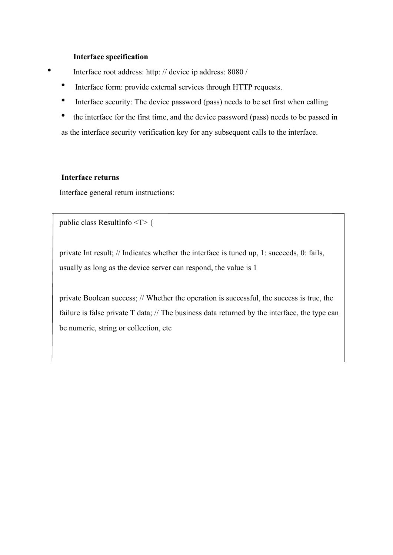### **Interface specification**

- Interface root address: http: // device ip address: 8080 /
	- Interface form: provide external services through HTTP requests.
	- Interface security: The device password (pass) needs to be set first when calling
	- the interface for the first time, and the device password (pass) needs to be passed in as the interface security verification key for any subsequent calls to the interface.

### **Interface returns**

Interface general return instructions:

public class ResultInfo <T> {

private Int result; // Indicates whether the interface is tuned up, 1: succeeds, 0: fails, usually as long as the device server can respond, the value is 1

private Boolean success; // Whether the operation is successful, the success is true, the failure is false private T data; // The business data returned by the interface, the type can be numeric, string or collection, etc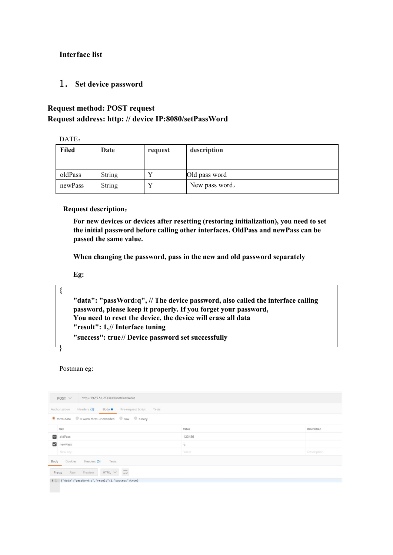### **Interface list**

1.**Set device password**

## **Request method: POST request Request address: http: // device IP:8080/setPassWord**

DATE:

| <b>Filed</b> | Date          | request | description    |
|--------------|---------------|---------|----------------|
|              |               |         |                |
| oldPass      | <b>String</b> |         | Old pass word  |
| newPass      | <b>String</b> |         | New pass word, |

### **Request description**:

**For new devices or devices after resetting (restoring initialization), you need toset the initial password before calling other interfaces. OldPass and newPass can be passed the same value.**

**When changing the password, pass in the new and old password separately**

**Eg:**

**{**

**}**

**"data": "passWord:q", // The device password, also called the interface calling password, please keep it properly. If you forget your password, You need toreset the device, the device will erase all data "result": 1,// Interface tuning "success": true// Device password set successfully**

Postman eg:

| http://192.9.51.214:8080/setPassWord<br>$POST \vee$                              |              |             |  |  |  |  |
|----------------------------------------------------------------------------------|--------------|-------------|--|--|--|--|
| Body <sup>o</sup><br>Headers (2)<br>Pre-request Script<br>Authorization<br>Tests |              |             |  |  |  |  |
|                                                                                  |              |             |  |  |  |  |
| Key<br>Value<br>Description                                                      |              |             |  |  |  |  |
| $\overline{\smile}$<br>oldPass                                                   | 123456       |             |  |  |  |  |
| $\vert$ $\vert$<br>newPass                                                       | $\mathbb{q}$ |             |  |  |  |  |
| New key                                                                          | Value        | Description |  |  |  |  |
| Headers (5)<br>Cookies<br>Tests<br>Body                                          |              |             |  |  |  |  |
| HTML $\sim$ $\equiv$<br>Preview<br>Pretty<br>Raw                                 |              |             |  |  |  |  |
| i 1 {"data":"passWord:q","result":1,"success":true}                              |              |             |  |  |  |  |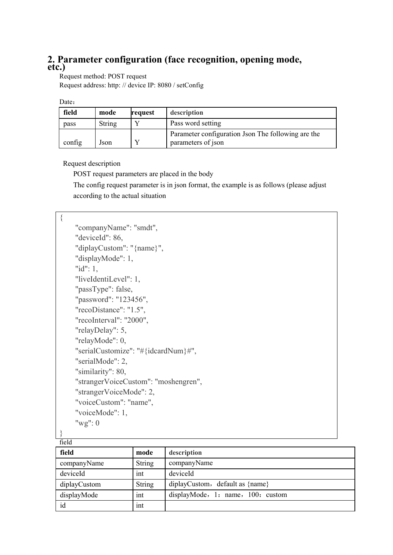## **2. Parameter configuration (face recognition, opening mode, etc.)**

Request method: POST request Request address: http: // device IP: 8080 / setConfig

| field  | mode   | request | description                                        |
|--------|--------|---------|----------------------------------------------------|
| pass   | String |         | Pass word setting                                  |
|        |        |         | Parameter configuration Json The following are the |
| config | Json   |         | parameters of json                                 |

Request description

POST request parameters are placed in the body

The config request parameter is in json format, the example is as follows (please adjust according to the actual situation

| ∤     |                                      |
|-------|--------------------------------------|
|       | "companyName": "smdt",               |
|       | "deviceId": 86,                      |
|       | "diplayCustom": "{name}",            |
|       | "displayMode": 1,                    |
|       | " $id$ ": 1,                         |
|       | "liveIdentiLevel": 1,                |
|       | "passType": false,                   |
|       | "password": "123456",                |
|       | "recoDistance": "1.5",               |
|       | "recoInterval": "2000",              |
|       | "relayDelay": 5,                     |
|       | "relayMode": 0,                      |
|       | "serialCustomize": "#{idcardNum}#",  |
|       | "serialMode": 2,                     |
|       | "similarity": 80,                    |
|       | "strangerVoiceCustom": "moshengren", |
|       | "strangerVoiceMode": 2,              |
|       | "voiceCustom": "name",               |
|       | "voiceMode": 1,                      |
|       | " $wg$ ": 0                          |
|       |                                      |
| field |                                      |

| nuu          |               |                                   |
|--------------|---------------|-----------------------------------|
| field        | mode          | description                       |
| companyName  | <b>String</b> | companyName                       |
| deviceId     | int           | deviceId                          |
| diplayCustom | <b>String</b> | diplayCustom, default as {name}   |
| displayMode  | int           | displayMode, 1: name, 100: custom |
| id           | int           |                                   |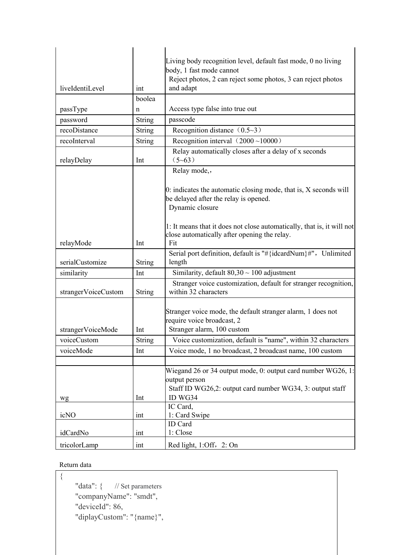| Living body recognition level, default fast mode, 0 no living<br>body, 1 fast mode cannot<br>Reject photos, 2 can reject some photos, 3 can reject photos<br>liveIdentiLevel<br>and adapt<br>int<br>boolea<br>Access type false into true out<br>passType<br>n<br>passcode<br>String<br>password<br>Recognition distance $(0.5-3)$<br>recoDistance<br><b>String</b><br>Recognition interval $(2000 \sim 10000)$<br>recoInterval<br>String<br>Relay automatically closes after a delay of x seconds<br>$(5-63)$<br>relayDelay<br>Int<br>Relay mode,,<br>$[0:$ indicates the automatic closing mode, that is, X seconds will<br>be delayed after the relay is opened.<br>Dynamic closure<br>close automatically after opening the relay.<br>Fit<br>relayMode<br>Int<br>Serial port definition, default is "#{idcardNum}#", Unlimited<br>serialCustomize<br>String<br>length<br>Similarity, default $80,30 \sim 100$ adjustment<br>similarity<br>Int<br>within 32 characters<br>strangerVoiceCustom<br><b>String</b><br>Stranger voice mode, the default stranger alarm, 1 does not<br>require voice broadcast, 2<br>Stranger alarm, 100 custom<br>strangerVoiceMode<br>Int<br><b>String</b><br>Voice customization, default is "name", within 32 characters<br>voiceCustom<br>Voice mode, 1 no broadcast, 2 broadcast name, 100 custom<br>voiceMode<br>Int<br>output person<br>Staff ID WG26,2: output card number WG34, 3: output staff<br>ID WG34<br>Int<br>wg<br>IC Card,<br>icNO<br>1: Card Swipe<br>int<br>ID Card<br>1: Close<br>idCardNo<br>int |              |     |                         |
|------------------------------------------------------------------------------------------------------------------------------------------------------------------------------------------------------------------------------------------------------------------------------------------------------------------------------------------------------------------------------------------------------------------------------------------------------------------------------------------------------------------------------------------------------------------------------------------------------------------------------------------------------------------------------------------------------------------------------------------------------------------------------------------------------------------------------------------------------------------------------------------------------------------------------------------------------------------------------------------------------------------------------------------------------------------------------------------------------------------------------------------------------------------------------------------------------------------------------------------------------------------------------------------------------------------------------------------------------------------------------------------------------------------------------------------------------------------------------------------------------------------------------------------------------|--------------|-----|-------------------------|
|                                                                                                                                                                                                                                                                                                                                                                                                                                                                                                                                                                                                                                                                                                                                                                                                                                                                                                                                                                                                                                                                                                                                                                                                                                                                                                                                                                                                                                                                                                                                                      |              |     |                         |
| Stranger voice customization, default for stranger recognition,                                                                                                                                                                                                                                                                                                                                                                                                                                                                                                                                                                                                                                                                                                                                                                                                                                                                                                                                                                                                                                                                                                                                                                                                                                                                                                                                                                                                                                                                                      |              |     |                         |
|                                                                                                                                                                                                                                                                                                                                                                                                                                                                                                                                                                                                                                                                                                                                                                                                                                                                                                                                                                                                                                                                                                                                                                                                                                                                                                                                                                                                                                                                                                                                                      |              |     |                         |
|                                                                                                                                                                                                                                                                                                                                                                                                                                                                                                                                                                                                                                                                                                                                                                                                                                                                                                                                                                                                                                                                                                                                                                                                                                                                                                                                                                                                                                                                                                                                                      |              |     |                         |
|                                                                                                                                                                                                                                                                                                                                                                                                                                                                                                                                                                                                                                                                                                                                                                                                                                                                                                                                                                                                                                                                                                                                                                                                                                                                                                                                                                                                                                                                                                                                                      |              |     |                         |
|                                                                                                                                                                                                                                                                                                                                                                                                                                                                                                                                                                                                                                                                                                                                                                                                                                                                                                                                                                                                                                                                                                                                                                                                                                                                                                                                                                                                                                                                                                                                                      |              |     |                         |
|                                                                                                                                                                                                                                                                                                                                                                                                                                                                                                                                                                                                                                                                                                                                                                                                                                                                                                                                                                                                                                                                                                                                                                                                                                                                                                                                                                                                                                                                                                                                                      |              |     |                         |
|                                                                                                                                                                                                                                                                                                                                                                                                                                                                                                                                                                                                                                                                                                                                                                                                                                                                                                                                                                                                                                                                                                                                                                                                                                                                                                                                                                                                                                                                                                                                                      |              |     |                         |
| 1: It means that it does not close automatically, that is, it will not<br>Wiegand 26 or 34 output mode, 0: output card number $WG26$ , 1:                                                                                                                                                                                                                                                                                                                                                                                                                                                                                                                                                                                                                                                                                                                                                                                                                                                                                                                                                                                                                                                                                                                                                                                                                                                                                                                                                                                                            |              |     |                         |
|                                                                                                                                                                                                                                                                                                                                                                                                                                                                                                                                                                                                                                                                                                                                                                                                                                                                                                                                                                                                                                                                                                                                                                                                                                                                                                                                                                                                                                                                                                                                                      |              |     |                         |
|                                                                                                                                                                                                                                                                                                                                                                                                                                                                                                                                                                                                                                                                                                                                                                                                                                                                                                                                                                                                                                                                                                                                                                                                                                                                                                                                                                                                                                                                                                                                                      |              |     |                         |
|                                                                                                                                                                                                                                                                                                                                                                                                                                                                                                                                                                                                                                                                                                                                                                                                                                                                                                                                                                                                                                                                                                                                                                                                                                                                                                                                                                                                                                                                                                                                                      |              |     |                         |
|                                                                                                                                                                                                                                                                                                                                                                                                                                                                                                                                                                                                                                                                                                                                                                                                                                                                                                                                                                                                                                                                                                                                                                                                                                                                                                                                                                                                                                                                                                                                                      |              |     |                         |
|                                                                                                                                                                                                                                                                                                                                                                                                                                                                                                                                                                                                                                                                                                                                                                                                                                                                                                                                                                                                                                                                                                                                                                                                                                                                                                                                                                                                                                                                                                                                                      |              |     |                         |
|                                                                                                                                                                                                                                                                                                                                                                                                                                                                                                                                                                                                                                                                                                                                                                                                                                                                                                                                                                                                                                                                                                                                                                                                                                                                                                                                                                                                                                                                                                                                                      |              |     |                         |
|                                                                                                                                                                                                                                                                                                                                                                                                                                                                                                                                                                                                                                                                                                                                                                                                                                                                                                                                                                                                                                                                                                                                                                                                                                                                                                                                                                                                                                                                                                                                                      |              |     |                         |
|                                                                                                                                                                                                                                                                                                                                                                                                                                                                                                                                                                                                                                                                                                                                                                                                                                                                                                                                                                                                                                                                                                                                                                                                                                                                                                                                                                                                                                                                                                                                                      |              |     |                         |
|                                                                                                                                                                                                                                                                                                                                                                                                                                                                                                                                                                                                                                                                                                                                                                                                                                                                                                                                                                                                                                                                                                                                                                                                                                                                                                                                                                                                                                                                                                                                                      |              |     |                         |
|                                                                                                                                                                                                                                                                                                                                                                                                                                                                                                                                                                                                                                                                                                                                                                                                                                                                                                                                                                                                                                                                                                                                                                                                                                                                                                                                                                                                                                                                                                                                                      |              |     |                         |
|                                                                                                                                                                                                                                                                                                                                                                                                                                                                                                                                                                                                                                                                                                                                                                                                                                                                                                                                                                                                                                                                                                                                                                                                                                                                                                                                                                                                                                                                                                                                                      |              |     |                         |
|                                                                                                                                                                                                                                                                                                                                                                                                                                                                                                                                                                                                                                                                                                                                                                                                                                                                                                                                                                                                                                                                                                                                                                                                                                                                                                                                                                                                                                                                                                                                                      |              |     |                         |
|                                                                                                                                                                                                                                                                                                                                                                                                                                                                                                                                                                                                                                                                                                                                                                                                                                                                                                                                                                                                                                                                                                                                                                                                                                                                                                                                                                                                                                                                                                                                                      |              |     |                         |
|                                                                                                                                                                                                                                                                                                                                                                                                                                                                                                                                                                                                                                                                                                                                                                                                                                                                                                                                                                                                                                                                                                                                                                                                                                                                                                                                                                                                                                                                                                                                                      |              |     |                         |
|                                                                                                                                                                                                                                                                                                                                                                                                                                                                                                                                                                                                                                                                                                                                                                                                                                                                                                                                                                                                                                                                                                                                                                                                                                                                                                                                                                                                                                                                                                                                                      | tricolorLamp | int | Red light, 1:Off, 2: On |

## Return data

 $\{$ "data": { // Set parameters "companyName": "smdt", "deviceId": 86, "diplayCustom": "{name}",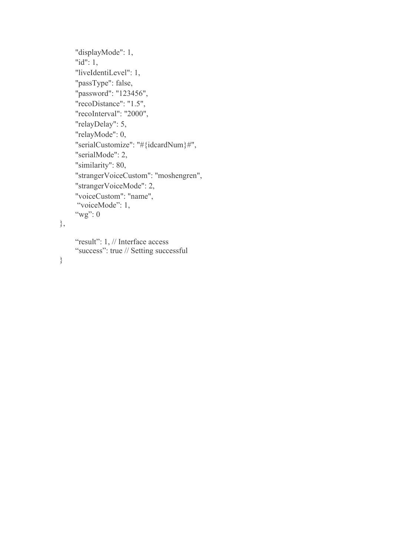```
"displayMode": 1, "id": 1, "liveIdentiLevel": 1, "passType": false, "password": "123456", "recoDistance": "1.5", "recoInterval": "2000", "relayDelay": 5, "relayMode": 0, "serialCustomize": "#{idcardNum}#", "serialMode": 2, "similarity": 80, "strangerVoiceCustom": "moshengren", "strangerVoiceMode": 2, "voiceCustom": "name", "voiceMode": 1,
"wg": 0
```
## },

"result": 1, // Interface access "success": true // Setting successful

## }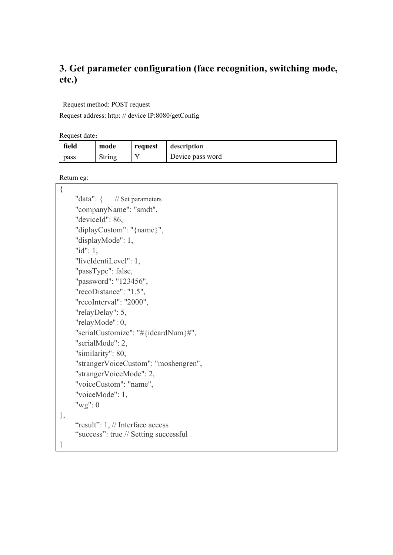# **3. Get parameter configuration (face recognition, switching mode, etc.)**

Request method: POST request

Request address: http: // device IP:8080/getConfig

Request date:

| field | mode   | request | description      |
|-------|--------|---------|------------------|
| pass  | String |         | Device pass word |

Return eg:

| $\{$ |                                       |
|------|---------------------------------------|
|      | "data": $\{$ // Set parameters        |
|      | "companyName": "smdt",                |
|      | "deviceId": 86,                       |
|      | "diplayCustom": "{name}",             |
|      | "displayMode": 1,                     |
|      | " $id$ ": 1,                          |
|      | "liveIdentiLevel": 1,                 |
|      | "passType": false,                    |
|      | "password": "123456",                 |
|      | "recoDistance": "1.5",                |
|      | "recoInterval": "2000",               |
|      | "relayDelay": 5,                      |
|      | "relayMode": 0,                       |
|      | "serialCustomize": "#{idcardNum}#",   |
|      | "serialMode": 2,                      |
|      | "similarity": 80,                     |
|      | "strangerVoiceCustom": "moshengren",  |
|      | "strangerVoiceMode": 2,               |
|      | "voiceCustom": "name",                |
|      | "voiceMode": 1,                       |
|      | " $wg$ ": 0                           |
| },   |                                       |
|      | "result": 1, // Interface access      |
|      | "success": true // Setting successful |
| }    |                                       |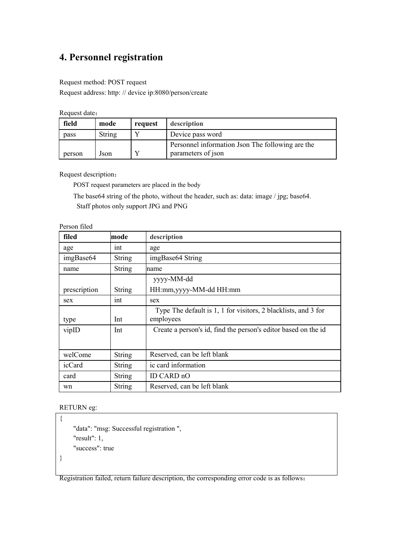# **4. Personnel registration**

#### Request method: POST request

Request address: http: // device ip:8080/person/create

Request date:

| field  | mode   | request | description                                                            |
|--------|--------|---------|------------------------------------------------------------------------|
| pass   | String |         | Device pass word                                                       |
| person | Json   |         | Personnel information Json The following are the<br>parameters of json |

Request description:

POST request parameters are placed in the body

The base64 string of the photo, without the header, such as: data: image / jpg; base64.

Staff photos only support JPG and PNG

| filed        | mode          | description                                                                 |
|--------------|---------------|-----------------------------------------------------------------------------|
| age          | int           | age                                                                         |
| imgBase64    | <b>String</b> | imgBase64 String                                                            |
| name         | <b>String</b> | mame                                                                        |
|              |               | yyyy-MM-dd                                                                  |
| prescription | <b>String</b> | HH:mm, yyyy-MM-dd HH:mm                                                     |
| sex          | int           | sex                                                                         |
| type         | Int           | Type The default is 1, 1 for visitors, 2 blacklists, and 3 for<br>employees |
| vipID        | Int           | Create a person's id, find the person's editor based on the id              |
| welCome      | <b>String</b> | Reserved, can be left blank                                                 |
| icCard       | <b>String</b> | ic card information                                                         |
| card         | <b>String</b> | ID CARD nO                                                                  |
| wn           | <b>String</b> | Reserved, can be left blank                                                 |

Person filed

#### RETURN eg:

```
\{"data": "msg: Successful registration ", "result": 1, "success": true
}
```
Registration failed, return failure description, the corresponding error code is as follows: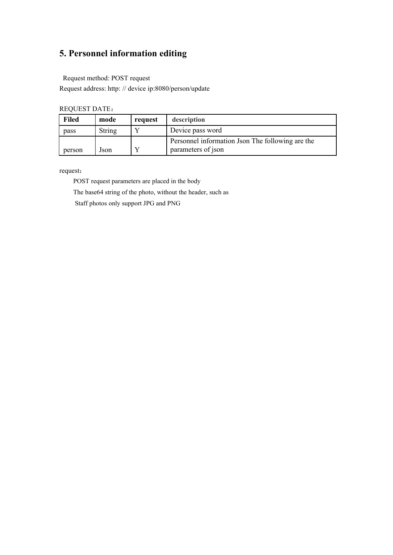# **5. Personnel information editing**

Request method: POST request

Request address: http: // device ip:8080/person/update

| <b>REQUEST DATE:</b> |  |
|----------------------|--|
|----------------------|--|

| <b>Filed</b> | mode   | request | description                                      |
|--------------|--------|---------|--------------------------------------------------|
| pass         | String |         | Device pass word                                 |
|              |        |         | Personnel information Json The following are the |
| person       | Json   |         | parameters of json                               |

request:

POST request parameters are placed in the body

The base64 string of the photo, without the header, such as

Staff photos only support JPG and PNG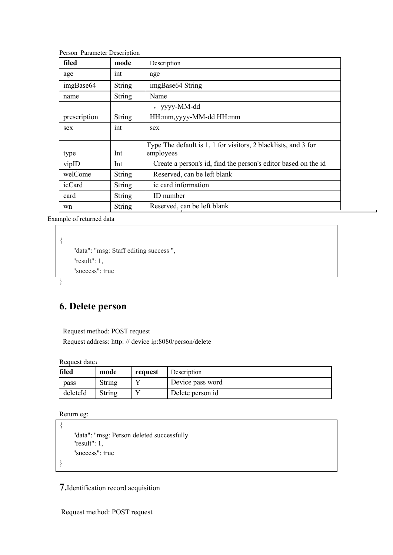| filed        | mode          | Description                                                                 |  |  |
|--------------|---------------|-----------------------------------------------------------------------------|--|--|
| age          | int           | age                                                                         |  |  |
| imgBase64    | <b>String</b> | imgBase64 String                                                            |  |  |
| name         | <b>String</b> | Name                                                                        |  |  |
|              |               | , yyyy-MM-dd                                                                |  |  |
| prescription | <b>String</b> | HH:mm,yyyy-MM-dd HH:mm                                                      |  |  |
| sex          | int           | sex                                                                         |  |  |
| type         | Int           | Type The default is 1, 1 for visitors, 2 blacklists, and 3 for<br>employees |  |  |
| vipID        | Int           | Create a person's id, find the person's editor based on the id              |  |  |
| welCome      | <b>String</b> | Reserved, can be left blank                                                 |  |  |
| icCard       | <b>String</b> | ic card information                                                         |  |  |
| card         | <b>String</b> | ID number                                                                   |  |  |
| wn           | <b>String</b> | Reserved, can be left blank                                                 |  |  |

Person Parameter Description

Example of returned data

```
\{"data": "msg: Staff editing success ", "result": 1, "success": true
```

```
}
```
## **6. Delete person**

Request method: POST request

Request address: http: // device ip:8080/person/delete

Request date:

| filed    | mode   | request | Description      |
|----------|--------|---------|------------------|
| pass     | String |         | Device pass word |
| deleteId | String |         | Delete person id |

Return eg:

```
\{"data": "msg: Person deleted successfully
  "result": 1, "success": true
}
```
**7.**Identification record acquisition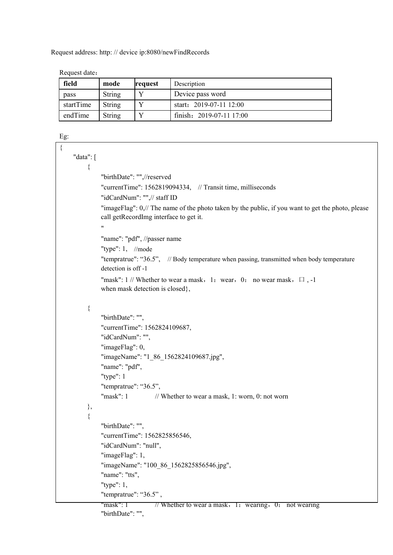Request address: http: // device ip:8080/newFindRecords

| field     | mode   | request | Description              |
|-----------|--------|---------|--------------------------|
| pass      | String |         | Device pass word         |
| startTime | String |         | start: $2019-07-1112:00$ |
| endTime   | String |         | finish: 2019-07-11 17:00 |

Request date:

#### Eg:

```
\{"data": [
        \{"birthDate": "",//reserved
            "currentTime": 1562819094334, // Transit time, milliseconds "idCardNum": "",// staff ID
            "imageFlag": 0,// The name of the photo taken by the public, if you want to get the photo, please
            call getRecordImg interface to get it. "
            "name": "pdf", //passer name
            "type": 1, //mode
            "tempratrue": "36.5", // Body temperature when passing, transmitted when body temperature
            detection is off -1
            "mask": 1 // Whether to wear a mask, 1: wear, 0: no wear mask, \Box, -1
            when mask detection is closed}, \{"birthDate": "", "currentTime": 1562824109687, "idCardNum": "", "imageFlag": 0, "imageName": "1_86_1562824109687.jpg", "name": "pdf", "type": 1
            "tempratrue": "36.5", "mask": 1 // Whether to wear a mask, 1: worn, 0: not worn
        }, \{"birthDate": "", "currentTime": 1562825856546, "idCardNum": "null", "imageFlag": 1, "imageName": "100_86_1562825856546.jpg", "name": "tts", "type": 1, "tempratrue": "36.5" , "mask": 1 // Whether to wear a mask, 1: wearing, 0: not wearing
            "birthDate": "",
```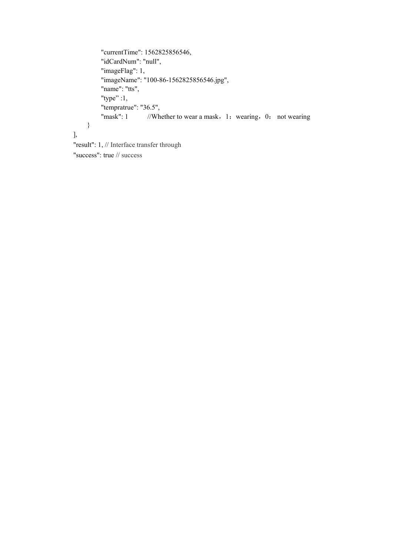```
"currentTime": 1562825856546, "idCardNum": "null", "imageFlag": 1, "imageName": "100-86-1562825856546.jpg", "name": "tts", "type" :1,"tempratrue": "36.5", "mask": 1 //Whether to wear a mask, 1: wearing, 0: not wearing
    }
],"result": 1, // Interface transfer through
```
"success": true // success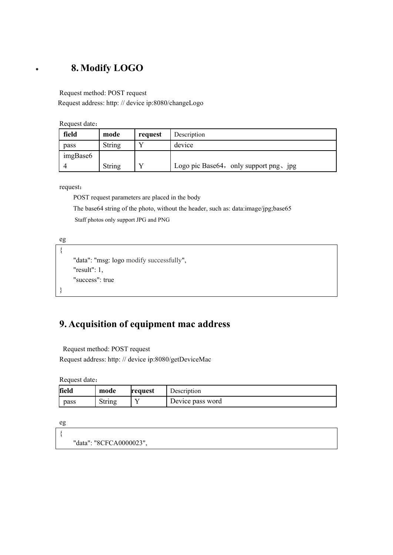## **8. Modify LOGO**

Request method: POST request

Request address: http: // device ip:8080/changeLogo

Request date:

| field    | mode   | request | Description                            |
|----------|--------|---------|----------------------------------------|
| pass     | String |         | device                                 |
| imgBase6 |        |         |                                        |
|          | String |         | Logo pic Base64, only support png, jpg |

request:

POST request parameters are placed in the body

The base64 string of the photo, without the header, such as: data:image/jpg;base65

Staff photos only support JPG and PNG

eg

```
\{"data": "msg: logo modify successfully", "result": 1, "success": true
}
```
# **9. Acquisition of equipment mac address**

Request method: POST request

Request address: http: // device ip:8080/getDeviceMac

Request date:

| field | mode   | request | Jescription      |
|-------|--------|---------|------------------|
| pass  | String |         | Device pass word |

eg

 $\{$ "data": "8CFCA0000023",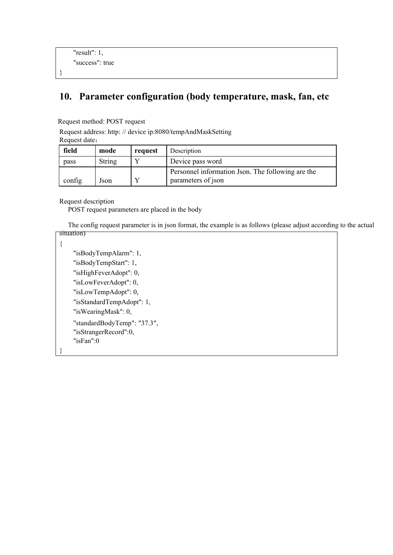```
"result": 1, "success": true
}
```
## **10. Parameter configuration (body temperature, mask, fan, etc**

Request method: POST request

Request address: http: // device ip:8080/tempAndMaskSetting

Request date:

| field  | mode   | request | Description                                       |
|--------|--------|---------|---------------------------------------------------|
| pass   | String |         | Device pass word                                  |
|        |        |         | Personnel information Json. The following are the |
| config | Json   |         | parameters of json                                |

Request description

POST request parameters are placed in the body

The config request parameter is in json format, the example is as follows (please adjust according to the actual situation)

}

 $\{$ "isBodyTempAlarm": 1, "isBodyTempStart": 1, "isHighFeverAdopt": 0, "isLowFeverAdopt": 0, "isLowTempAdopt": 0, "isStandardTempAdopt": 1, "isWearingMask": 0, "standardBodyTemp": "37.3", "isStrangerRecord":0, "isFan":0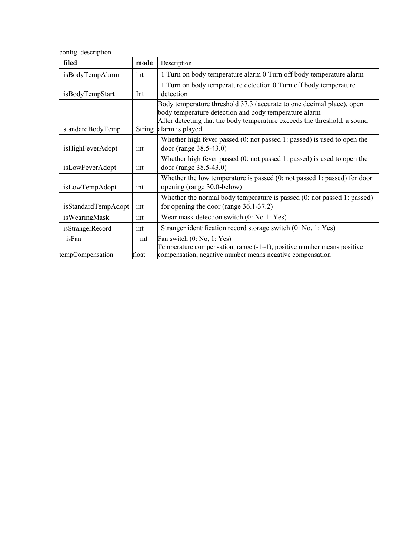config description

| filed               | mode          | Description                                                                                                                                                                                                                   |
|---------------------|---------------|-------------------------------------------------------------------------------------------------------------------------------------------------------------------------------------------------------------------------------|
| isBodyTempAlarm     | int           | 1 Turn on body temperature alarm 0 Turn off body temperature alarm                                                                                                                                                            |
| isBodyTempStart     | Int           | 1 Turn on body temperature detection 0 Turn off body temperature<br>detection                                                                                                                                                 |
| standardBodyTemp    | <b>String</b> | Body temperature threshold 37.3 (accurate to one decimal place), open<br>body temperature detection and body temperature alarm<br>After detecting that the body temperature exceeds the threshold, a sound<br>alarm is played |
| isHighFeverAdopt    | int           | Whether high fever passed $(0: \text{not passed 1: passed})$ is used to open the<br>door (range 38.5-43.0)                                                                                                                    |
| isLowFeverAdopt     | int           | Whether high fever passed $(0: \text{not passed 1: passed})$ is used to open the<br>door (range 38.5-43.0)                                                                                                                    |
| isLowTempAdopt      | int           | Whether the low temperature is passed $(0: \text{not passed 1: passed})$ for door<br>opening (range 30.0-below)                                                                                                               |
| isStandardTempAdopt | int           | Whether the normal body temperature is passed (0: not passed 1: passed)<br>for opening the door (range $36.1 - 37.2$ )                                                                                                        |
| isWearingMask       | int           | Wear mask detection switch (0: No 1: Yes)                                                                                                                                                                                     |
| isStrangerRecord    | int           | Stranger identification record storage switch (0: No, 1: Yes)                                                                                                                                                                 |
| isFan               | 1nt           | Fan switch $(0: No, 1: Yes)$<br>Temperature compensation, range $(-1)$ , positive number means positive                                                                                                                       |
| tempCompensation    | float         | compensation, negative number means negative compensation                                                                                                                                                                     |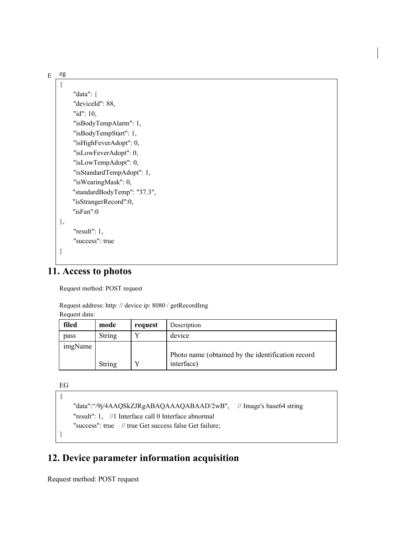| E | eg   |                             |
|---|------|-----------------------------|
|   | $\{$ |                             |
|   |      | "data": $\{$                |
|   |      | "deviceId": 88,             |
|   |      | "id": 10,                   |
|   |      | "isBodyTempAlarm": 1,       |
|   |      | "isBodyTempStart": 1,       |
|   |      | "isHighFeverAdopt": 0,      |
|   |      | "isLowFeverAdopt": 0,       |
|   |      | "isLowTempAdopt": 0,        |
|   |      | "isStandardTempAdopt": 1,   |
|   |      | "isWearingMask": 0,         |
|   |      | "standardBodyTemp": "37.3", |
|   |      | "isStrangerRecord":0,       |
|   |      | " $isFan$ ":0               |
|   | },   |                             |
|   |      | " $result"$ : 1,            |
|   |      | "success": true             |
|   | ∤    |                             |
|   |      |                             |

## **11. Access to photos**

Request method: POST request

Request address: http: // device ip: 8080 / getRecordImg Request data:

| filed   | mode   | request | Description                                       |
|---------|--------|---------|---------------------------------------------------|
| pass    | String |         | device                                            |
| imgName |        |         |                                                   |
|         |        |         | Photo name (obtained by the identification record |
|         | String |         | interface)                                        |

EG

```
\{"data":"/9j/4AAQSkZJRgABAQAAAQABAAD/2wB", // Image's base64 string
   "result": 1, //1 Interface call 0 Interface abnormal "success": true // true Get success false Get failure;
}
```
## **12. Device parameter information acquisition**

Request method: POST request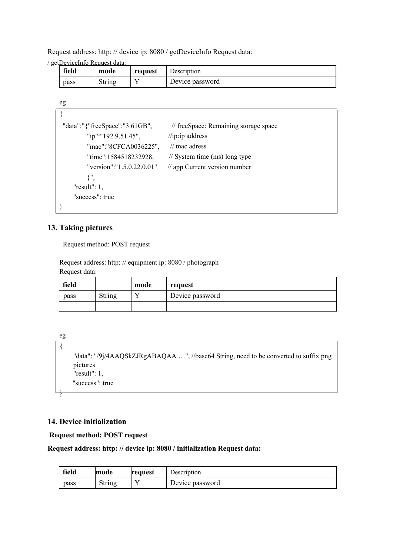Request address: http: // device ip: 8080 / getDeviceInfo Request data:

/ getDeviceInfo Request data:

| field | mode   | request | Description     |
|-------|--------|---------|-----------------|
| pass  | String |         | Device password |

| eg                             |                                          |
|--------------------------------|------------------------------------------|
|                                |                                          |
| "data":"{"freeSpace":"3.61GB", | // freeSpace: Remaining storage space    |
| "ip":"192.9.51.45",            | $\frac{1}{i}$ ip: address                |
| "mac":"8CFCA0036225",          | $\frac{1}{2}$ mac adress                 |
| "time":1584518232928,          | $\frac{1}{2}$ System time (ms) long type |
| "version":" $1.5.0.22.0.01$ "  | $\frac{1}{2}$ app Current version number |
| ∤",                            |                                          |
| " $result"$ : 1,               |                                          |
| "success": true                |                                          |
|                                |                                          |

### **13. Taking pictures**

Request method: POST request

Request address: http: // equipment ip: 8080 / photograph Request data:

| field |        | mode | request         |
|-------|--------|------|-----------------|
| pass  | String |      | Device password |
|       |        |      |                 |

```
eg
\{"data": "/9j/4AAQSkZJRgABAQAA …", //base64 String, need to be converted to suffix png
   pictures "result": 1, "success": true
}
```
## **14. Device initialization**

**Request method: POST request**

### **Request address: http: // device ip: 8080 / initialization Request data:**

| field | lmode            | <b>request</b> | Description     |
|-------|------------------|----------------|-----------------|
| pass  | $\sim$<br>String |                | Device password |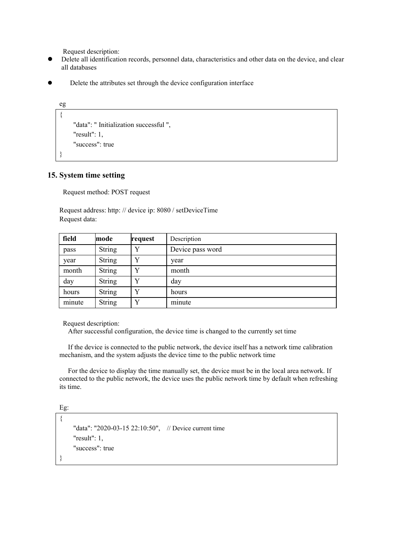Request description:

- Delete all identification records, personnel data, characteristics and other data on the device, and clear all databases
- Delete the attributes set through the device configuration interface

```
eg
\{"data": " Initialization successful ", "result": 1, "success": true
}
```
### **15. System time setting**

Request method: POST request

Request address: http: // device ip: 8080 / setDeviceTime Request data:

| field  | mode          | request | Description      |
|--------|---------------|---------|------------------|
| pass   | <b>String</b> | v       | Device pass word |
| year   | <b>String</b> |         | year             |
| month  | <b>String</b> | v       | month            |
| day    | <b>String</b> | v       | day              |
| hours  | <b>String</b> |         | hours            |
| minute | <b>String</b> | v       | minute           |

Request description:

After successful configuration, the device time is changed to the currently set time

If the device is connected to the public network, the device itself has a network time calibration mechanism, and the system adjusts the device time to the public network time

For the device to display the time manually set, the device must be in the local area network. If connected to the public network, the device uses the public network time by default when refreshing its time.

Eg:

```
\{"data": "2020-03-15 22:10:50", // Device current time
   "result": 1, "success": true
}
```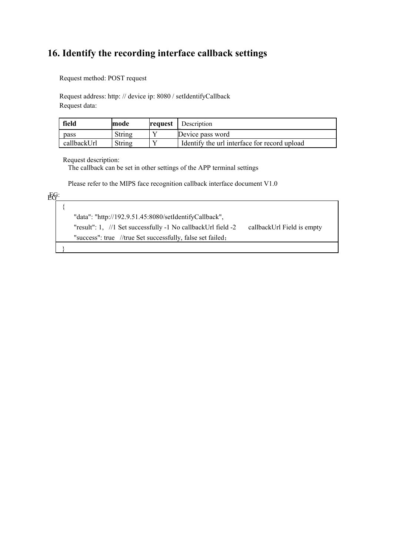# **16. Identify the recording interface callback settings**

Request method: POST request

Request address: http: // device ip: 8080 / setIdentifyCallback Request data:

| field       | mode   | <b>request</b> | Description                                  |
|-------------|--------|----------------|----------------------------------------------|
| pass        | String |                | Device pass word                             |
| callbackUrl | String |                | Identify the url interface for record upload |

Request description:

The callback can be setin other settings ofthe APP terminal settings

Please refer to the MIPS face recognition callback interface document V1.0

| 比点: |  |
|-----|--|
|     |  |

| "data": "http://192.9.51.45:8080/setIdentifyCallback",                                         |
|------------------------------------------------------------------------------------------------|
| "result": 1, $\pi/1$ Set successfully -1 No callbackUrl field -2<br>callbackUrl Field is empty |
| "success": true //true Set successfully, false set failed;                                     |
|                                                                                                |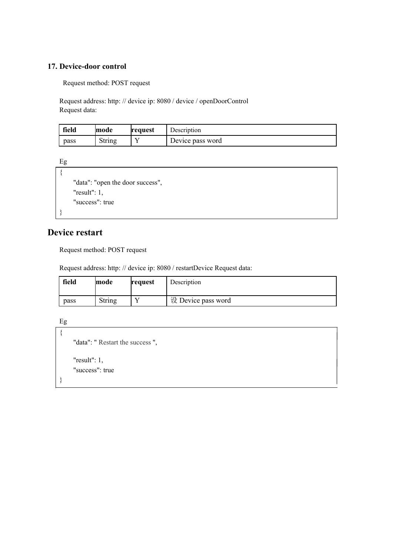## **17. Device-door control**

Request method: POST request

Request address: http: // device ip: 8080 / device / openDoorControl Request data:

| field | lmode            | <b>request</b> | Description      |
|-------|------------------|----------------|------------------|
| pass  | $\sim$<br>String |                | Device pass word |

Eg

```
\{"data": "open the door success",
  "result": 1, "success": true
}
```
## **Device restart**

Request method: POST request

Request address: http: // device ip: 8080 / restartDevice Request data:

| field | mode   | request | Description        |
|-------|--------|---------|--------------------|
| pass  | String |         | 设 Device pass word |

Eg

```
\{"data": " Restart the success ", "result": 1, "success": true
}
```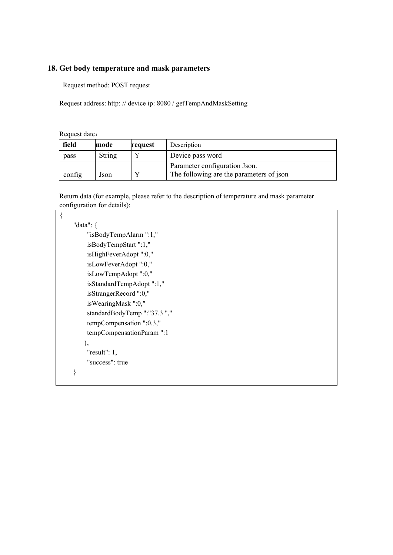## **18. Get body temperature and mask parameters**

Request method: POST request

Request address: http: // device ip: 8080 / getTempAndMaskSetting

Request date:

| field  | mode   | request | Description                              |
|--------|--------|---------|------------------------------------------|
| pass   | String |         | Device pass word                         |
|        |        |         | Parameter configuration Json.            |
| config | Json   |         | The following are the parameters of json |

Return data (for example, please refer to the description of temperature and mask parameter configuration for details):

| "data": $\{$                 |  |
|------------------------------|--|
| "isBodyTempAlarm ":1,"       |  |
| isBodyTempStart":1,"         |  |
| isHighFeverAdopt ":0,"       |  |
| isLowFeverAdopt ":0,"        |  |
| isLowTempAdopt":0,"          |  |
| isStandardTempAdopt":1,"     |  |
| isStrangerRecord ":0,"       |  |
| isWearingMask ":0,"          |  |
| standardBodyTemp ":"37.3 "," |  |
| tempCompensation ":0.3,"     |  |
| tempCompensationParam ":1    |  |
| },                           |  |
| " $result"$ : 1,             |  |
| "success": true              |  |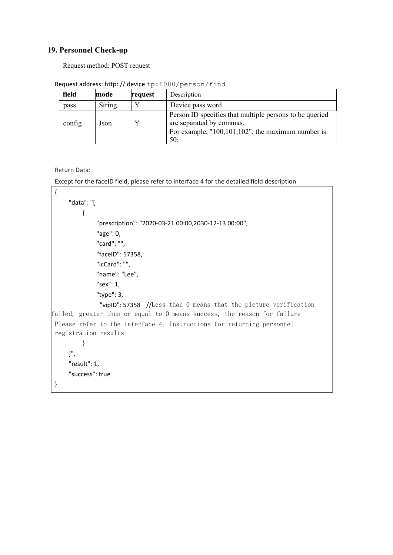### **19. Personnel Check-up**

Request method: POST request

| field  | mode          | request | Description                                                                         |
|--------|---------------|---------|-------------------------------------------------------------------------------------|
| pass   | <b>String</b> |         | Device pass word                                                                    |
| config | Json          |         | Person ID specifies that multiple persons to be queried<br>are separated by commas. |
|        |               |         | For example, $"100,101,102"$ , the maximum number is<br>50;                         |

Request address: http: // device ip:8080/person/find

Return Data:

Except for the faceID field, please refer to interface 4 for the detailed field description

```
{ "data": "[
         { "prescription": "2020-03-21 00:00,2030-12-13 00:00", "age": 0, "card": "", "faceID": 57358, "icCard": "", "name": "Lee", "sex": 1, "type": 3, "vipID": 57358 //Less than 0 means that the picture verification
failed, greater than or equal to 0 means success, the reason for failure
Please refer to the interface 4, Instructions for returning personnel
registration results
         }
    ]", "result": 1, "success": true
}
```